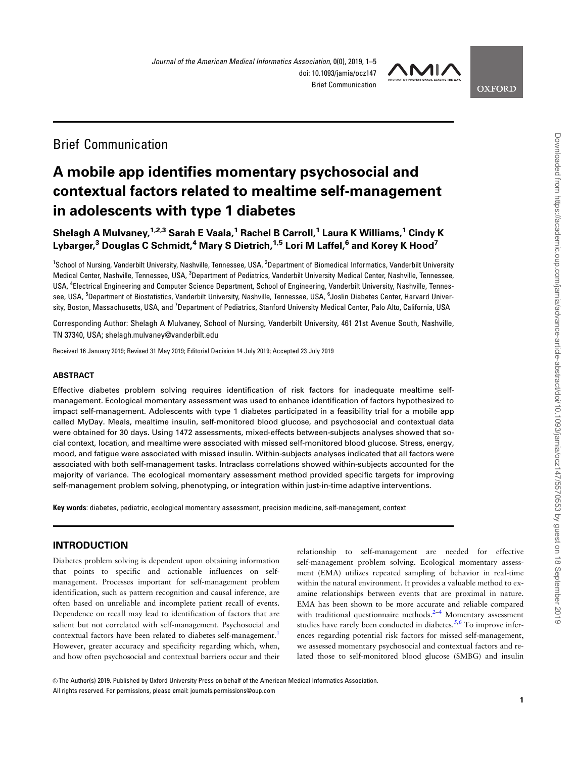

## Brief Communication

# A mobile app identifies momentary psychosocial and contextual factors related to mealtime self-management in adolescents with type 1 diabetes

### Shelagh A Mulvaney,  $1,2,3$  Sarah E Vaala,  $1$  Rachel B Carroll,  $1$  Laura K Williams,  $1$  Cindy K Lybarger,<sup>3</sup> Douglas C Schmidt,<sup>4</sup> Mary S Dietrich,<sup>1,5</sup> Lori M Laffel,<sup>6</sup> and Korey K Hood<sup>7</sup>

<sup>1</sup>School of Nursing, Vanderbilt University, Nashville, Tennessee, USA, <sup>2</sup>Department of Biomedical Informatics, Vanderbilt University Medical Center, Nashville, Tennessee, USA, <sup>3</sup>Department of Pediatrics, Vanderbilt University Medical Center, Nashville, Tennessee, USA, <sup>4</sup> Electrical Engineering and Computer Science Department, School of Engineering, Vanderbilt University, Nashville, Tennessee, USA, <sup>5</sup>Department of Biostatistics, Vanderbilt University, Nashville, Tennessee, USA, <sup>6</sup>Joslin Diabetes Center, Harvard University, Boston, Massachusetts, USA, and <sup>7</sup>Department of Pediatrics, Stanford University Medical Center, Palo Alto, California, USA

Corresponding Author: Shelagh A Mulvaney, School of Nursing, Vanderbilt University, 461 21st Avenue South, Nashville, TN 37340, USA; shelagh.mulvaney@vanderbilt.edu

Received 16 January 2019; Revised 31 May 2019; Editorial Decision 14 July 2019; Accepted 23 July 2019

#### ABSTRACT

Effective diabetes problem solving requires identification of risk factors for inadequate mealtime selfmanagement. Ecological momentary assessment was used to enhance identification of factors hypothesized to impact self-management. Adolescents with type 1 diabetes participated in a feasibility trial for a mobile app called MyDay. Meals, mealtime insulin, self-monitored blood glucose, and psychosocial and contextual data were obtained for 30 days. Using 1472 assessments, mixed-effects between-subjects analyses showed that social context, location, and mealtime were associated with missed self-monitored blood glucose. Stress, energy, mood, and fatigue were associated with missed insulin. Within-subjects analyses indicated that all factors were associated with both self-management tasks. Intraclass correlations showed within-subjects accounted for the majority of variance. The ecological momentary assessment method provided specific targets for improving self-management problem solving, phenotyping, or integration within just-in-time adaptive interventions.

Key words: diabetes, pediatric, ecological momentary assessment, precision medicine, self-management, context

#### INTRODUCTION

Diabetes problem solving is dependent upon obtaining information that points to specific and actionable influences on selfmanagement. Processes important for self-management problem identification, such as pattern recognition and causal inference, are often based on unreliable and incomplete patient recall of events. Dependence on recall may lead to identification of factors that are salient but not correlated with self-management. Psychosocial and contextual factors have been related to diabetes self-management.<sup>1</sup> However, greater accuracy and specificity regarding which, when, and how often psychosocial and contextual barriers occur and their

relationship to self-management are needed for effective self-management problem solving. Ecological momentary assessment (EMA) utilizes repeated sampling of behavior in real-time within the natural environment. It provides a valuable method to examine relationships between events that are proximal in nature. EMA has been shown to be more accurate and reliable compared with traditional questionnaire methods. $2-4$  Momentary assessment studies have rarely been conducted in diabetes.<sup>[5,6](#page-4-0)</sup> To improve inferences regarding potential risk factors for missed self-management, we assessed momentary psychosocial and contextual factors and related those to self-monitored blood glucose (SMBG) and insulin

V<sup>C</sup> The Author(s) 2019. Published by Oxford University Press on behalf of the American Medical Informatics Association. All rights reserved. For permissions, please email: journals.permissions@oup.com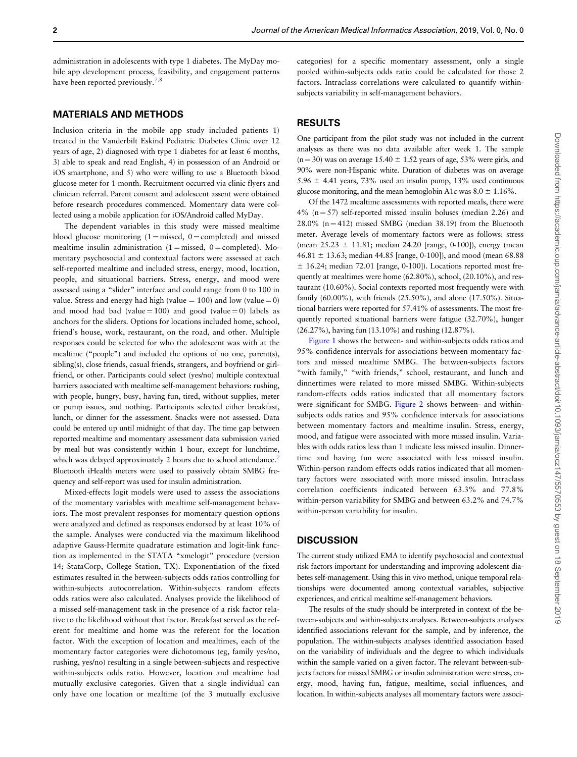administration in adolescents with type 1 diabetes. The MyDay mobile app development process, feasibility, and engagement patterns have been reported previously.<sup>7,8</sup>

#### MATERIALS AND METHODS

Inclusion criteria in the mobile app study included patients 1) treated in the Vanderbilt Eskind Pediatric Diabetes Clinic over 12 years of age, 2) diagnosed with type 1 diabetes for at least 6 months, 3) able to speak and read English, 4) in possession of an Android or iOS smartphone, and 5) who were willing to use a Bluetooth blood glucose meter for 1 month. Recruitment occurred via clinic flyers and clinician referral. Parent consent and adolescent assent were obtained before research procedures commenced. Momentary data were collected using a mobile application for iOS/Android called MyDay.

The dependent variables in this study were missed mealtime blood glucose monitoring  $(1 =$  missed,  $0 =$  completed) and missed mealtime insulin administration  $(1 =$  missed,  $0 =$  completed). Momentary psychosocial and contextual factors were assessed at each self-reported mealtime and included stress, energy, mood, location, people, and situational barriers. Stress, energy, and mood were assessed using a "slider" interface and could range from 0 to 100 in value. Stress and energy had high (value  $= 100$ ) and low (value  $= 0$ ) and mood had bad (value =  $100$ ) and good (value = 0) labels as anchors for the sliders. Options for locations included home, school, friend's house, work, restaurant, on the road, and other. Multiple responses could be selected for who the adolescent was with at the mealtime ("people") and included the options of no one, parent(s), sibling(s), close friends, casual friends, strangers, and boyfriend or girlfriend, or other. Participants could select (yes/no) multiple contextual barriers associated with mealtime self-management behaviors: rushing, with people, hungry, busy, having fun, tired, without supplies, meter or pump issues, and nothing. Participants selected either breakfast, lunch, or dinner for the assessment. Snacks were not assessed. Data could be entered up until midnight of that day. The time gap between reported mealtime and momentary assessment data submission varied by meal but was consistently within 1 hour, except for lunchtime, which was delayed approximately 2 hours due to school attendance.<sup>7</sup> Bluetooth iHealth meters were used to passively obtain SMBG frequency and self-report was used for insulin administration.

Mixed-effects logit models were used to assess the associations of the momentary variables with mealtime self-management behaviors. The most prevalent responses for momentary question options were analyzed and defined as responses endorsed by at least 10% of the sample. Analyses were conducted via the maximum likelihood adaptive Gauss-Hermite quadrature estimation and logit-link function as implemented in the STATA "xmelogit" procedure (version 14; StataCorp, College Station, TX). Exponentiation of the fixed estimates resulted in the between-subjects odds ratios controlling for within-subjects autocorrelation. Within-subjects random effects odds ratios were also calculated. Analyses provide the likelihood of a missed self-management task in the presence of a risk factor relative to the likelihood without that factor. Breakfast served as the referent for mealtime and home was the referent for the location factor. With the exception of location and mealtimes, each of the momentary factor categories were dichotomous (eg, family yes/no, rushing, yes/no) resulting in a single between-subjects and respective within-subjects odds ratio. However, location and mealtime had mutually exclusive categories. Given that a single individual can only have one location or mealtime (of the 3 mutually exclusive

categories) for a specific momentary assessment, only a single pooled within-subjects odds ratio could be calculated for those 2 factors. Intraclass correlations were calculated to quantify withinsubjects variability in self-management behaviors.

#### RESULTS

One participant from the pilot study was not included in the current analyses as there was no data available after week 1. The sample  $(n = 30)$  was on average 15.40  $\pm$  1.52 years of age, 53% were girls, and 90% were non-Hispanic white. Duration of diabetes was on average  $5.96 \pm 4.41$  years,  $73\%$  used an insulin pump,  $13\%$  used continuous glucose monitoring, and the mean hemoglobin A1c was  $8.0 \pm 1.16\%$ .

Of the 1472 mealtime assessments with reported meals, there were  $4\%$  (n = 57) self-reported missed insulin boluses (median 2.26) and  $28.0\%$  (n = 412) missed SMBG (median 38.19) from the Bluetooth meter. Average levels of momentary factors were as follows: stress (mean  $25.23 \pm 11.81$ ; median 24.20 [range, 0-100]), energy (mean 46.81  $\pm$  13.63; median 44.85 [range, 0-100]), and mood (mean 68.88  $±$  16.24; median 72.01 [range, 0-100]). Locations reported most frequently at mealtimes were home (62.80%), school, (20.10%), and restaurant (10.60%). Social contexts reported most frequently were with family (60.00%), with friends (25.50%), and alone (17.50%). Situational barriers were reported for 57.41% of assessments. The most frequently reported situational barriers were fatigue (32.70%), hunger (26.27%), having fun (13.10%) and rushing (12.87%).

[Figure 1](#page-2-0) shows the between- and within-subjects odds ratios and 95% confidence intervals for associations between momentary factors and missed mealtime SMBG. The between-subjects factors "with family," "with friends," school, restaurant, and lunch and dinnertimes were related to more missed SMBG. Within-subjects random-effects odds ratios indicated that all momentary factors were significant for SMBG. [Figure 2](#page-3-0) shows between- and withinsubjects odds ratios and 95% confidence intervals for associations between momentary factors and mealtime insulin. Stress, energy, mood, and fatigue were associated with more missed insulin. Variables with odds ratios less than 1 indicate less missed insulin. Dinnertime and having fun were associated with less missed insulin. Within-person random effects odds ratios indicated that all momentary factors were associated with more missed insulin. Intraclass correlation coefficients indicated between 63.3% and 77.8% within-person variability for SMBG and between 63.2% and 74.7% within-person variability for insulin.

#### **DISCUSSION**

The current study utilized EMA to identify psychosocial and contextual risk factors important for understanding and improving adolescent diabetes self-management. Using this in vivo method, unique temporal relationships were documented among contextual variables, subjective experiences, and critical mealtime self-management behaviors.

The results of the study should be interpreted in context of the between-subjects and within-subjects analyses. Between-subjects analyses identified associations relevant for the sample, and by inference, the population. The within-subjects analyses identified association based on the variability of individuals and the degree to which individuals within the sample varied on a given factor. The relevant between-subjects factors for missed SMBG or insulin administration were stress, energy, mood, having fun, fatigue, mealtime, social influences, and location. In within-subjects analyses all momentary factors were associ-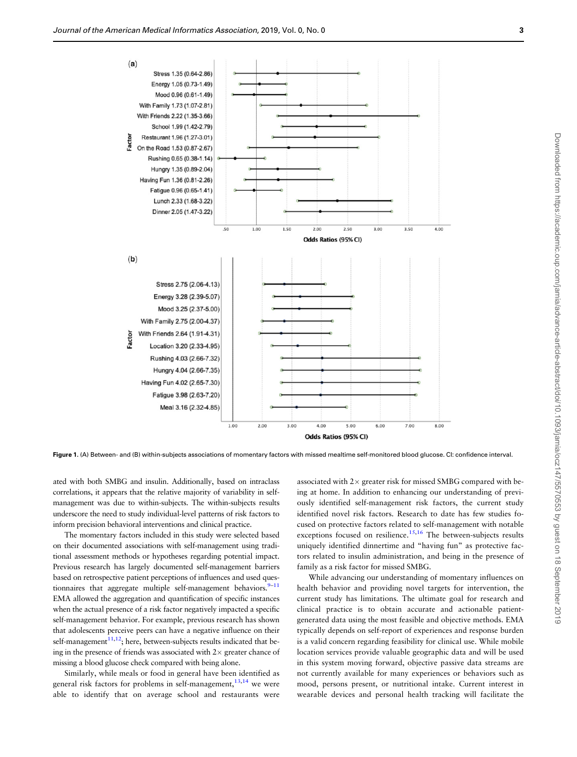<span id="page-2-0"></span>

Figure 1. (A) Between- and (B) within-subjects associations of momentary factors with missed mealtime self-monitored blood glucose. CI: confidence interval.

ated with both SMBG and insulin. Additionally, based on intraclass correlations, it appears that the relative majority of variability in selfmanagement was due to within-subjects. The within-subjects results underscore the need to study individual-level patterns of risk factors to inform precision behavioral interventions and clinical practice.

The momentary factors included in this study were selected based on their documented associations with self-management using traditional assessment methods or hypotheses regarding potential impact. Previous research has largely documented self-management barriers based on retrospective patient perceptions of influences and used questionnaires that aggregate multiple self-management behaviors.<sup>9-11</sup> EMA allowed the aggregation and quantification of specific instances when the actual presence of a risk factor negatively impacted a specific self-management behavior. For example, previous research has shown that adolescents perceive peers can have a negative influence on their self-management $11,12$  $11,12$ ; here, between-subjects results indicated that being in the presence of friends was associated with  $2\times$  greater chance of missing a blood glucose check compared with being alone.

Similarly, while meals or food in general have been identified as general risk factors for problems in self-management,  $13,14$  we were able to identify that on average school and restaurants were

associated with 2 $\times$  greater risk for missed SMBG compared with being at home. In addition to enhancing our understanding of previously identified self-management risk factors, the current study identified novel risk factors. Research to date has few studies focused on protective factors related to self-management with notable exceptions focused on resilience.<sup>[15,16](#page-4-0)</sup> The between-subjects results uniquely identified dinnertime and "having fun" as protective factors related to insulin administration, and being in the presence of family as a risk factor for missed SMBG.

While advancing our understanding of momentary influences on health behavior and providing novel targets for intervention, the current study has limitations. The ultimate goal for research and clinical practice is to obtain accurate and actionable patientgenerated data using the most feasible and objective methods. EMA typically depends on self-report of experiences and response burden is a valid concern regarding feasibility for clinical use. While mobile location services provide valuable geographic data and will be used in this system moving forward, objective passive data streams are not currently available for many experiences or behaviors such as mood, persons present, or nutritional intake. Current interest in wearable devices and personal health tracking will facilitate the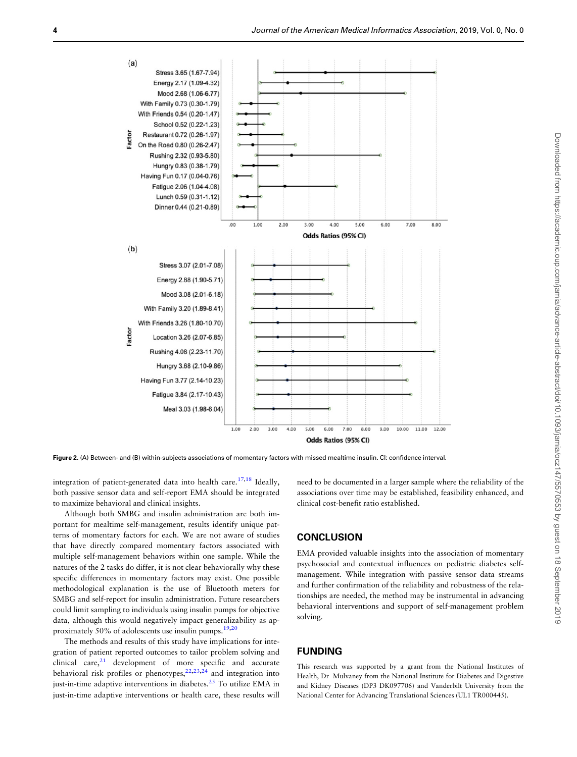<span id="page-3-0"></span>

Figure 2. (A) Between- and (B) within-subjects associations of momentary factors with missed mealtime insulin. CI: confidence interval.

integration of patient-generated data into health care.<sup>[17,18](#page-4-0)</sup> Ideally, both passive sensor data and self-report EMA should be integrated to maximize behavioral and clinical insights.

Although both SMBG and insulin administration are both important for mealtime self-management, results identify unique patterns of momentary factors for each. We are not aware of studies that have directly compared momentary factors associated with multiple self-management behaviors within one sample. While the natures of the 2 tasks do differ, it is not clear behaviorally why these specific differences in momentary factors may exist. One possible methodological explanation is the use of Bluetooth meters for SMBG and self-report for insulin administration. Future researchers could limit sampling to individuals using insulin pumps for objective data, although this would negatively impact generalizability as approximately 50% of adolescents use insulin pumps[.19,20](#page-4-0)

The methods and results of this study have implications for integration of patient reported outcomes to tailor problem solving and clinical care, $21$  development of more specific and accurate behavioral risk profiles or phenotypes,  $22,23,24$  $22,23,24$  and integration into just-in-time adaptive interventions in diabetes.<sup>25</sup> To utilize EMA in just-in-time adaptive interventions or health care, these results will

need to be documented in a larger sample where the reliability of the associations over time may be established, feasibility enhanced, and clinical cost-benefit ratio established.

#### **CONCLUSION**

EMA provided valuable insights into the association of momentary psychosocial and contextual influences on pediatric diabetes selfmanagement. While integration with passive sensor data streams and further confirmation of the reliability and robustness of the relationships are needed, the method may be instrumental in advancing behavioral interventions and support of self-management problem solving.

#### FUNDING

This research was supported by a grant from the National Institutes of Health, Dr Mulvaney from the National Institute for Diabetes and Digestive and Kidney Diseases (DP3 DK097706) and Vanderbilt University from the National Center for Advancing Translational Sciences (UL1 TR000445).